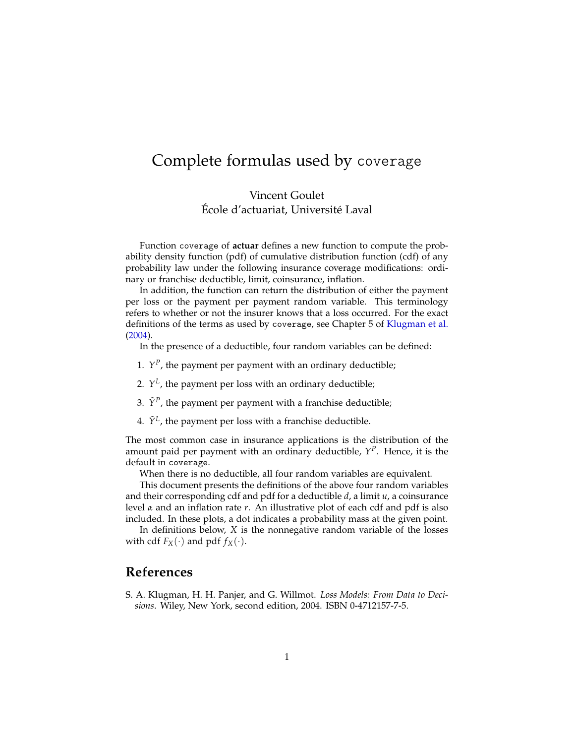#### Complete formulas used by coverage

Vincent Goulet École d'actuariat, Université Laval

Function coverage of **actuar** defines a new function to compute the probability density function (pdf) of cumulative distribution function (cdf) of any probability law under the following insurance coverage modifications: ordinary or franchise deductible, limit, coinsurance, inflation.

In addition, the function can return the distribution of either the payment per loss or the payment per payment random variable. This terminology refers to whether or not the insurer knows that a loss occurred. For the exact definitions of the terms as used by coverage, see Chapter 5 of [Klugman et al.](#page-0-0) [\(2004\)](#page-0-0).

In the presence of a deductible, four random variables can be defined:

- 1.  $Y^P$ , the payment per payment with an ordinary deductible;
- 2.  $Y^L$ , the payment per loss with an ordinary deductible;
- 3.  $\tilde{Y}^P$ , the payment per payment with a franchise deductible;
- 4.  $\tilde{Y}^L$ , the payment per loss with a franchise deductible.

The most common case in insurance applications is the distribution of the amount paid per payment with an ordinary deductible, *Y P* . Hence, it is the default in coverage.

When there is no deductible, all four random variables are equivalent.

This document presents the definitions of the above four random variables and their corresponding cdf and pdf for a deductible *d*, a limit *u*, a coinsurance level *α* and an inflation rate *r*. An illustrative plot of each cdf and pdf is also included. In these plots, a dot indicates a probability mass at the given point.

In definitions below, *X* is the nonnegative random variable of the losses with cdf  $F_X(\cdot)$  and pdf  $f_X(\cdot)$ .

#### **References**

<span id="page-0-0"></span>S. A. Klugman, H. H. Panjer, and G. Willmot. *Loss Models: From Data to Decisions*. Wiley, New York, second edition, 2004. ISBN 0-4712157-7-5.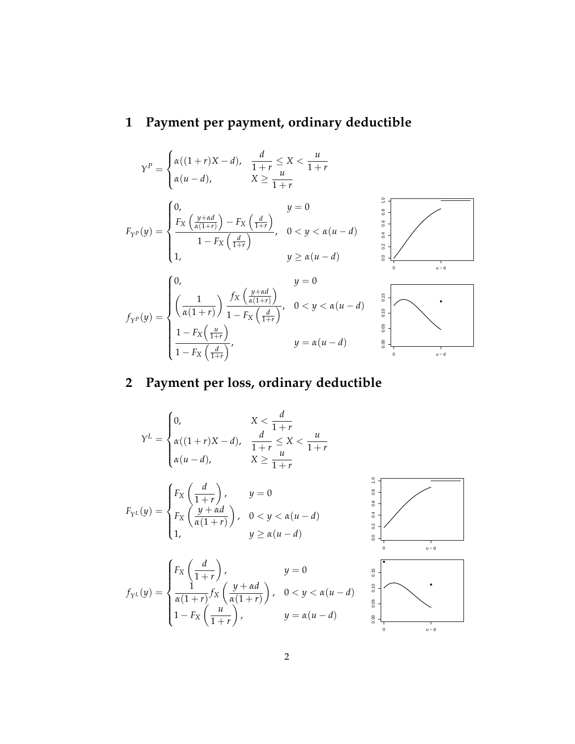## **1 Payment per payment, ordinary deductible**

$$
Y^{P} = \begin{cases} \alpha((1+r)X-d), & \frac{d}{1+r} \leq X < \frac{u}{1+r} \\ \alpha(u-d), & X \geq \frac{u}{1+r} \end{cases}
$$
  
\n
$$
F_{Y^{P}}(y) = \begin{cases} 0, & y = 0 \\ \frac{F_{X}\left(\frac{y+\alpha d}{\alpha(1+r)}\right) - F_{X}\left(\frac{d}{1+r}\right)}{1-F_{X}\left(\frac{d}{1+r}\right)}, & 0 < y < \alpha(u-d) \\ 1, & y \geq \alpha(u-d) \end{cases}
$$
  
\n
$$
f_{Y^{P}}(y) = \begin{cases} 0, & y = 0 \\ \left(\frac{1}{\alpha(1+r)}\right) \frac{f_{X}\left(\frac{y+\alpha d}{\alpha(1+r)}\right)}{1-F_{X}\left(\frac{d}{1+r}\right)}, & 0 < y < \alpha(u-d) \end{cases}
$$
  
\n
$$
\frac{1-F_{X}\left(\frac{u}{1+r}\right)}{1-F_{X}\left(\frac{d}{1+r}\right)}, & y = \alpha(u-d) \end{cases}
$$

## **2 Payment per loss, ordinary deductible**

$$
Y^{L} = \begin{cases} 0, & X < \frac{d}{1+r} \\ \alpha((1+r)X-d), & \frac{d}{1+r} \leq X < \frac{u}{1+r} \\ \alpha(u-d), & X \geq \frac{u}{1+r} \end{cases}
$$
\n
$$
F_{Y^{L}}(y) = \begin{cases} F_{X}\left(\frac{d}{1+r}\right), & y = 0 \\ F_{X}\left(\frac{y+\alpha d}{\alpha(1+r)}\right), & 0 < y < \alpha(u-d) \\ 1, & y \geq \alpha(u-d) \end{cases}
$$
\n
$$
f_{Y^{L}}(y) = \begin{cases} F_{X}\left(\frac{d}{1+r}\right), & y = 0 \\ \frac{1}{\alpha(1+r)} f_{X}\left(\frac{y+\alpha d}{\alpha(1+r)}\right), & 0 < y < \alpha(u-d) \\ 1 - F_{X}\left(\frac{u}{1+r}\right), & y = \alpha(u-d) \end{cases}
$$

0 u − d

 $\int$ ,  $y = \alpha(u - d)$ 

 $1-F_X\left(\frac{u}{1+v}\right)$ 

 $1 + r$